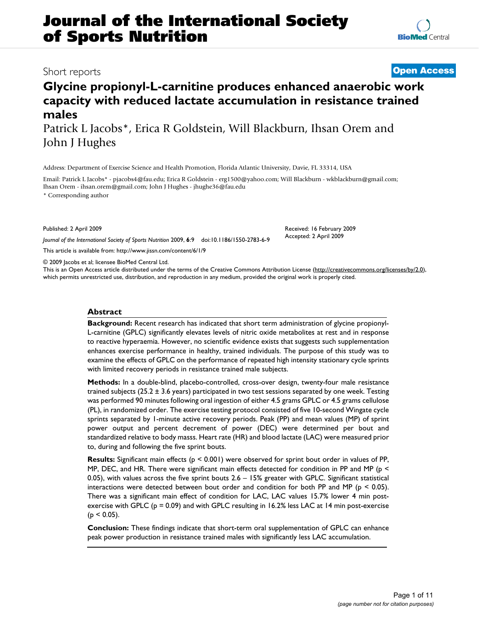# **Journal of the International Society of Sports Nutrition**

# Short reports **[Open Access](http://www.biomedcentral.com/info/about/charter/)**

# **Glycine propionyl-L-carnitine produces enhanced anaerobic work capacity with reduced lactate accumulation in resistance trained males**

Patrick L Jacobs\*, Erica R Goldstein, Will Blackburn, Ihsan Orem and John J Hughes

Address: Department of Exercise Science and Health Promotion, Florida Atlantic University, Davie, FL 33314, USA

Email: Patrick L Jacobs\* - pjacobs4@fau.edu; Erica R Goldstein - erg1500@yahoo.com; Will Blackburn - wkblackburn@gmail.com; Ihsan Orem - ihsan.orem@gmail.com; John J Hughes - jhughe36@fau.edu

\* Corresponding author

Published: 2 April 2009

*Journal of the International Society of Sports Nutrition* 2009, **6**:9 doi:10.1186/1550-2783-6-9

[This article is available from: http://www.jissn.com/content/6/1/9](http://www.jissn.com/content/6/1/9)

© 2009 Jacobs et al; licensee BioMed Central Ltd.

This is an Open Access article distributed under the terms of the Creative Commons Attribution License [\(http://creativecommons.org/licenses/by/2.0\)](http://creativecommons.org/licenses/by/2.0), which permits unrestricted use, distribution, and reproduction in any medium, provided the original work is properly cited.

#### **Abstract**

**Background:** Recent research has indicated that short term administration of glycine propionyl-L-carnitine (GPLC) significantly elevates levels of nitric oxide metabolites at rest and in response to reactive hyperaemia. However, no scientific evidence exists that suggests such supplementation enhances exercise performance in healthy, trained individuals. The purpose of this study was to examine the effects of GPLC on the performance of repeated high intensity stationary cycle sprints with limited recovery periods in resistance trained male subjects.

**Methods:** In a double-blind, placebo-controlled, cross-over design, twenty-four male resistance trained subjects (25.2 ± 3.6 years) participated in two test sessions separated by one week. Testing was performed 90 minutes following oral ingestion of either 4.5 grams GPLC or 4.5 grams cellulose (PL), in randomized order. The exercise testing protocol consisted of five 10-second Wingate cycle sprints separated by 1-minute active recovery periods. Peak (PP) and mean values (MP) of sprint power output and percent decrement of power (DEC) were determined per bout and standardized relative to body masss. Heart rate (HR) and blood lactate (LAC) were measured prior to, during and following the five sprint bouts.

**Results:** Significant main effects (p < 0.001) were observed for sprint bout order in values of PP, MP, DEC, and HR. There were significant main effects detected for condition in PP and MP ( $p \le$ 0.05), with values across the five sprint bouts 2.6 – 15% greater with GPLC. Significant statistical interactions were detected between bout order and condition for both PP and MP ( $p < 0.05$ ). There was a significant main effect of condition for LAC, LAC values 15.7% lower 4 min postexercise with GPLC (p = 0.09) and with GPLC resulting in 16.2% less LAC at 14 min post-exercise  $(p < 0.05)$ .

**Conclusion:** These findings indicate that short-term oral supplementation of GPLC can enhance peak power production in resistance trained males with significantly less LAC accumulation.

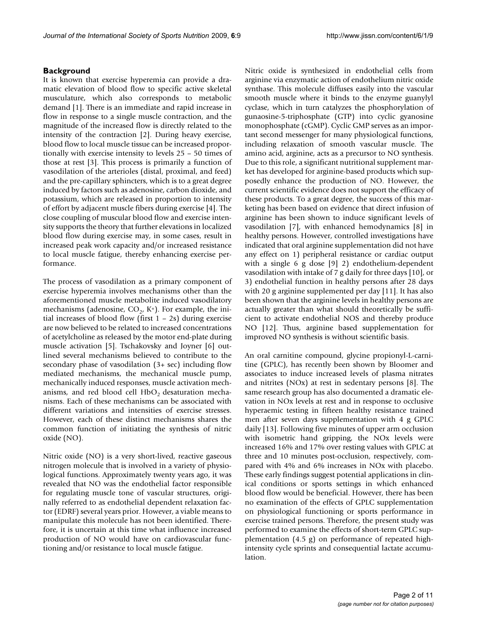# **Background**

It is known that exercise hyperemia can provide a dramatic elevation of blood flow to specific active skeletal musculature, which also corresponds to metabolic demand [\[1\]](#page-9-0). There is an immediate and rapid increase in flow in response to a single muscle contraction, and the magnitude of the increased flow is directly related to the intensity of the contraction [[2\]](#page-9-1). During heavy exercise, blood flow to local muscle tissue can be increased proportionally with exercise intensity to levels 25 – 50 times of those at rest [\[3](#page-9-2)]. This process is primarily a function of vasodilation of the arterioles (distal, proximal, and feed) and the pre-capillary sphincters, which is to a great degree induced by factors such as adenosine, carbon dioxide, and potassium, which are released in proportion to intensity of effort by adjacent muscle fibers during exercise [[4](#page-9-3)]. The close coupling of muscular blood flow and exercise intensity supports the theory that further elevations in localized blood flow during exercise may, in some cases, result in increased peak work capacity and/or increased resistance to local muscle fatigue, thereby enhancing exercise performance.

The process of vasodilation as a primary component of exercise hyperemia involves mechanisms other than the aforementioned muscle metabolite induced vasodilatory mechanisms (adenosine,  $CO_2$ , K<sup>+</sup>). For example, the initial increases of blood flow (first  $1 - 2s$ ) during exercise are now believed to be related to increased concentrations of acetylcholine as released by the motor end-plate during muscle activation [\[5\]](#page-9-4). Tschakovsky and Joyner [[6](#page-9-5)] outlined several mechanisms believed to contribute to the secondary phase of vasodilation (3+ sec) including flow mediated mechanisms, the mechanical muscle pump, mechanically induced responses, muscle activation mechanisms, and red blood cell  $HbO<sub>2</sub>$  desaturation mechanisms. Each of these mechanisms can be associated with different variations and intensities of exercise stresses. However, each of these distinct mechanisms shares the common function of initiating the synthesis of nitric oxide (NO).

Nitric oxide (NO) is a very short-lived, reactive gaseous nitrogen molecule that is involved in a variety of physiological functions. Approximately twenty years ago, it was revealed that NO was the endothelial factor responsible for regulating muscle tone of vascular structures, originally referred to as endothelial dependent relaxation factor (EDRF) several years prior. However, a viable means to manipulate this molecule has not been identified. Therefore, it is uncertain at this time what influence increased production of NO would have on cardiovascular functioning and/or resistance to local muscle fatigue.

Nitric oxide is synthesized in endothelial cells from arginine via enzymatic action of endothelium nitric oxide synthase. This molecule diffuses easily into the vascular smooth muscle where it binds to the enzyme guanylyl cyclase, which in turn catalyzes the phosphorylation of gunaosine-5-triphosphate (GTP) into cyclic gyanosine monophosphate (cGMP). Cyclic GMP serves as an important second messenger for many physiological functions, including relaxation of smooth vascular muscle. The amino acid, arginine, acts as a precursor to NO synthesis. Due to this role, a significant nutritional supplement market has developed for arginine-based products which supposedly enhance the production of NO. However, the current scientific evidence does not support the efficacy of these products. To a great degree, the success of this marketing has been based on evidence that direct infusion of arginine has been shown to induce significant levels of vasodilation [\[7\]](#page-9-6), with enhanced hemodynamics [[8](#page-9-7)] in healthy persons. However, controlled investigations have indicated that oral arginine supplementation did not have any effect on 1) peripheral resistance or cardiac output with a single 6 g dose [\[9\]](#page-9-8) 2) endothelium-dependent vasodilation with intake of 7 g daily for three days [\[10](#page-9-9)], or 3) endothelial function in healthy persons after 28 days with 20 g arginine supplemented per day [\[11\]](#page-9-10). It has also been shown that the arginine levels in healthy persons are actually greater than what should theoretically be sufficient to activate endothelial NOS and thereby produce NO [[12](#page-9-11)]. Thus, arginine based supplementation for improved NO synthesis is without scientific basis.

An oral carnitine compound, glycine propionyl-L-carnitine (GPLC), has recently been shown by Bloomer and associates to induce increased levels of plasma nitrates and nitrites (NOx) at rest in sedentary persons [\[8\]](#page-9-7). The same research group has also documented a dramatic elevation in NOx levels at rest and in response to occlusive hyperaemic testing in fifteen healthy resistance trained men after seven days supplementation with 4 g GPLC daily [\[13](#page-9-12)]. Following five minutes of upper arm occlusion with isometric hand gripping, the NO<sub>x</sub> levels were increased 16% and 17% over resting values with GPLC at three and 10 minutes post-occlusion, respectively, compared with 4% and 6% increases in NOx with placebo. These early findings suggest potential applications in clinical conditions or sports settings in which enhanced blood flow would be beneficial. However, there has been no examination of the effects of GPLC supplementation on physiological functioning or sports performance in exercise trained persons. Therefore, the present study was performed to examine the effects of short-term GPLC supplementation (4.5 g) on performance of repeated highintensity cycle sprints and consequential lactate accumulation.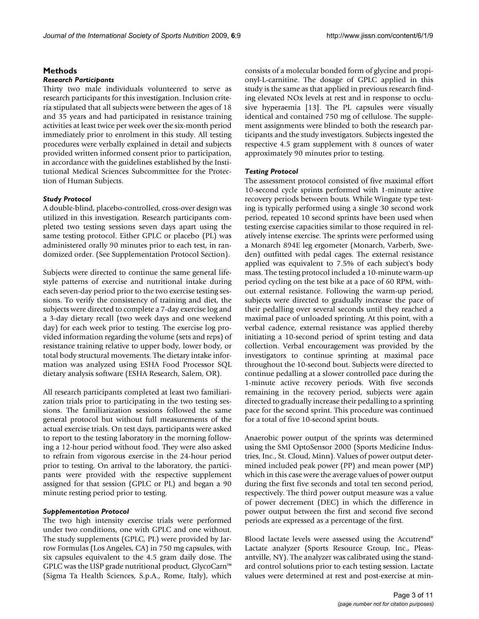#### **Methods**

#### *Research Participants*

Thirty two male individuals volunteered to serve as research participants for this investigation. Inclusion criteria stipulated that all subjects were between the ages of 18 and 35 years and had participated in resistance training activities at least twice per week over the six-month period immediately prior to enrolment in this study. All testing procedures were verbally explained in detail and subjects provided written informed consent prior to participation, in accordance with the guidelines established by the Institutional Medical Sciences Subcommittee for the Protection of Human Subjects.

#### *Study Protocol*

A double-blind, placebo-controlled, cross-over design was utilized in this investigation. Research participants completed two testing sessions seven days apart using the same testing protocol. Either GPLC or placebo (PL) was administered orally 90 minutes prior to each test, in randomized order. (See Supplementation Protocol Section).

Subjects were directed to continue the same general lifestyle patterns of exercise and nutritional intake during each seven-day period prior to the two exercise testing sessions. To verify the consistency of training and diet, the subjects were directed to complete a 7-day exercise log and a 3-day dietary recall (two week days and one weekend day) for each week prior to testing. The exercise log provided information regarding the volume (sets and reps) of resistance training relative to upper body, lower body, or total body structural movements. The dietary intake information was analyzed using ESHA Food Processor SQL dietary analysis software (ESHA Research, Salem, OR).

All research participants completed at least two familiarization trials prior to participating in the two testing sessions. The familiarization sessions followed the same general protocol but without full measurements of the actual exercise trials. On test days, participants were asked to report to the testing laboratory in the morning following a 12-hour period without food. They were also asked to refrain from vigorous exercise in the 24-hour period prior to testing. On arrival to the laboratory, the participants were provided with the respective supplement assigned for that session (GPLC or PL) and began a 90 minute resting period prior to testing.

#### *Supplementation Protocol*

The two high intensity exercise trials were performed under two conditions, one with GPLC and one without. The study supplements (GPLC, PL) were provided by Jarrow Formulas (Los Angeles, CA) in 750 mg capsules, with six capsules equivalent to the 4.5 gram daily dose. The GPLC was the USP grade nutritional product, GlycoCarn™ (Sigma Ta Health Sciences, S.p.A., Rome, Italy), which consists of a molecular bonded form of glycine and propionyl-L-carnitine. The dosage of GPLC applied in this study is the same as that applied in previous research finding elevated NOx levels at rest and in response to occlusive hyperaemia [[13\]](#page-9-12). The PL capsules were visually identical and contained 750 mg of cellulose. The supplement assignments were blinded to both the research participants and the study investigators. Subjects ingested the respective 4.5 gram supplement with 8 ounces of water approximately 90 minutes prior to testing.

## *Testing Protocol*

The assessment protocol consisted of five maximal effort 10-second cycle sprints performed with 1-minute active recovery periods between bouts. While Wingate type testing is typically performed using a single 30 second work period, repeated 10 second sprints have been used when testing exercise capacities similar to those required in relatively intense exercise. The sprints were performed using a Monarch 894E leg ergometer (Monarch, Varberb, Sweden) outfitted with pedal cages. The external resistance applied was equivalent to 7.5% of each subject's body mass. The testing protocol included a 10-minute warm-up period cycling on the test bike at a pace of 60 RPM, without external resistance. Following the warm-up period, subjects were directed to gradually increase the pace of their pedalling over several seconds until they reached a maximal pace of unloaded sprinting. At this point, with a verbal cadence, external resistance was applied thereby initiating a 10-second period of sprint testing and data collection. Verbal encouragement was provided by the investigators to continue sprinting at maximal pace throughout the 10-second bout. Subjects were directed to continue pedalling at a slower controlled pace during the 1-minute active recovery periods. With five seconds remaining in the recovery period, subjects were again directed to gradually increase their pedalling to a sprinting pace for the second sprint. This procedure was continued for a total of five 10-second sprint bouts.

Anaerobic power output of the sprints was determined using the SMI OptoSensor 2000 (Sports Medicine Industries, Inc., St. Cloud, Minn). Values of power output determined included peak power (PP) and mean power (MP) which in this case were the average values of power output during the first five seconds and total ten second period, respectively. The third power output measure was a value of power decrement (DEC) in which the difference in power output between the first and second five second periods are expressed as a percentage of the first.

Blood lactate levels were assessed using the Accutrend® Lactate analyzer (Sports Resource Group, Inc., Pleasantville, NY). The analyzer was calibrated using the standard control solutions prior to each testing session. Lactate values were determined at rest and post-exercise at min-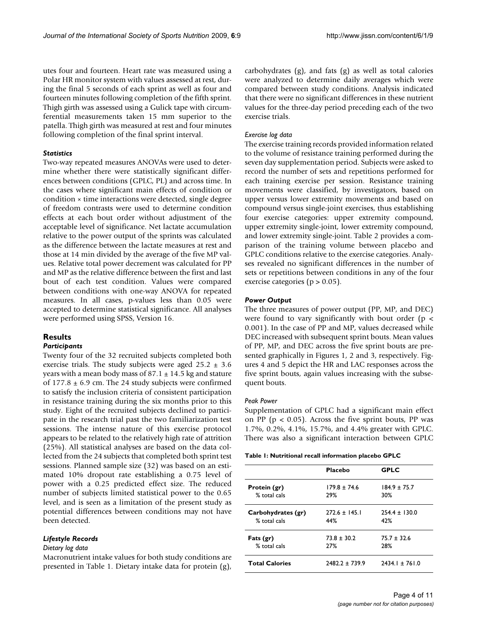utes four and fourteen. Heart rate was measured using a Polar HR monitor system with values assessed at rest, during the final 5 seconds of each sprint as well as four and fourteen minutes following completion of the fifth sprint. Thigh girth was assessed using a Gulick tape with circumferential measurements taken 15 mm superior to the patella. Thigh girth was measured at rest and four minutes following completion of the final sprint interval.

# *Statistics*

Two-way repeated measures ANOVAs were used to determine whether there were statistically significant differences between conditions (GPLC, PL) and across time. In the cases where significant main effects of condition or condition × time interactions were detected, single degree of freedom contrasts were used to determine condition effects at each bout order without adjustment of the acceptable level of significance. Net lactate accumulation relative to the power output of the sprints was calculated as the difference between the lactate measures at rest and those at 14 min divided by the average of the five MP values. Relative total power decrement was calculated for PP and MP as the relative difference between the first and last bout of each test condition. Values were compared between conditions with one-way ANOVA for repeated measures. In all cases, p-values less than 0.05 were accepted to determine statistical significance. All analyses were performed using SPSS, Version 16.

# **Results**

# *Participants*

Twenty four of the 32 recruited subjects completed both exercise trials. The study subjects were aged  $25.2 \pm 3.6$ years with a mean body mass of  $87.1 \pm 14.5$  kg and stature of 177.8  $\pm$  6.9 cm. The 24 study subjects were confirmed to satisfy the inclusion criteria of consistent participation in resistance training during the six months prior to this study. Eight of the recruited subjects declined to participate in the research trial past the two familiarization test sessions. The intense nature of this exercise protocol appears to be related to the relatively high rate of attrition (25%). All statistical analyses are based on the data collected from the 24 subjects that completed both sprint test sessions. Planned sample size (32) was based on an estimated 10% dropout rate establishing a 0.75 level of power with a 0.25 predicted effect size. The reduced number of subjects limited statistical power to the 0.65 level, and is seen as a limitation of the present study as potential differences between conditions may not have been detected.

# *Lifestyle Records*

## *Dietary log data*

Macronutrient intake values for both study conditions are presented in Table [1](#page-3-0). Dietary intake data for protein (g),

carbohydrates (g), and fats (g) as well as total calories were analyzed to determine daily averages which were compared between study conditions. Analysis indicated that there were no significant differences in these nutrient values for the three-day period preceding each of the two exercise trials.

# *Exercise log data*

The exercise training records provided information related to the volume of resistance training performed during the seven day supplementation period. Subjects were asked to record the number of sets and repetitions performed for each training exercise per session. Resistance training movements were classified, by investigators, based on upper versus lower extremity movements and based on compound versus single-joint exercises, thus establishing four exercise categories: upper extremity compound, upper extremity single-joint, lower extremity compound, and lower extremity single-joint. Table [2](#page-4-0) provides a comparison of the training volume between placebo and GPLC conditions relative to the exercise categories. Analyses revealed no significant differences in the number of sets or repetitions between conditions in any of the four exercise categories ( $p > 0.05$ ).

# *Power Output*

The three measures of power output (PP, MP, and DEC) were found to vary significantly with bout order ( $p \lt$ 0.001). In the case of PP and MP, values decreased while DEC increased with subsequent sprint bouts. Mean values of PP, MP, and DEC across the five sprint bouts are presented graphically in Figures [1,](#page-5-0) [2](#page-6-0) and [3](#page-7-0), respectively. Figures [4](#page-8-0) and [5](#page-9-13) depict the HR and LAC responses across the five sprint bouts, again values increasing with the subsequent bouts.

# *Peak Power*

Supplementation of GPLC had a significant main effect on PP ( $p < 0.05$ ). Across the five sprint bouts, PP was 1.7%, 0.2%, 4.1%, 15.7%, and 4.4% greater with GPLC. There was also a significant interaction between GPLC

<span id="page-3-0"></span>

| Table 1: Nutritional recall information placebo GPLC |  |
|------------------------------------------------------|--|
|------------------------------------------------------|--|

|                       | Placebo          | <b>GPLC</b>      |
|-----------------------|------------------|------------------|
| Protein (gr)          | $179.8 + 74.6$   | $184.9 \pm 75.7$ |
| % total cals          | 29%              | 30%              |
| Carbohydrates (gr)    | $272.6 + 145.1$  | $254.4 + 130.0$  |
| % total cals          | 44%              | 42%              |
| Fats $gr)$            | $73.8 \pm 30.2$  | $75.7 + 32.6$    |
| % total cals          | 27%              | 28%              |
| <b>Total Calories</b> | $7482.2 + 739.9$ | $2434.1 + 761.0$ |
|                       |                  |                  |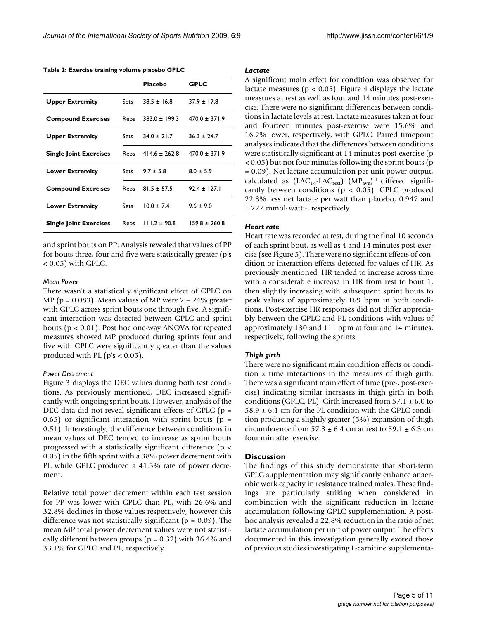<span id="page-4-0"></span>**Table 2: Exercise training volume placebo GPLC**

|                               |             | <b>Placebo</b>    | <b>GPLC</b>       |
|-------------------------------|-------------|-------------------|-------------------|
| <b>Upper Extremity</b>        | Sets        | $38.5 \pm 16.8$   | $37.9 \pm 17.8$   |
| <b>Compound Exercises</b>     | Reps        | $383.0 \pm 199.3$ | $470.0 \pm 371.9$ |
| <b>Upper Extremity</b>        | <b>Sets</b> | $34.0 \pm 21.7$   | $36.3 \pm 24.7$   |
| <b>Single Joint Exercises</b> | Reps        | $414.6 \pm 262.8$ | $470.0 \pm 371.9$ |
| <b>Lower Extremity</b>        | <b>Sets</b> | $9.7 \pm 5.8$     | $8.0 \pm 5.9$     |
| <b>Compound Exercises</b>     | Reps        | $81.5 \pm 57.5$   | $92.4 \pm 127.1$  |
| <b>Lower Extremity</b>        | <b>Sets</b> | $10.0 \pm 7.4$    | $9.6 \pm 9.0$     |
| <b>Single Joint Exercises</b> | Reps        | $111.2 \pm 90.8$  | $159.8 \pm 260.8$ |

and sprint bouts on PP. Analysis revealed that values of PP for bouts three, four and five were statistically greater (p's  $< 0.05$ ) with GPLC.

#### *Mean Power*

There wasn't a statistically significant effect of GPLC on MP ( $p = 0.083$ ). Mean values of MP were  $2 - 24\%$  greater with GPLC across sprint bouts one through five. A significant interaction was detected between GPLC and sprint bouts (p < 0.01). Post hoc one-way ANOVA for repeated measures showed MP produced during sprints four and five with GPLC were significantly greater than the values produced with PL ( $p's < 0.05$ ).

#### *Power Decrement*

Figure [3](#page-7-0) displays the DEC values during both test conditions. As previously mentioned, DEC increased significantly with ongoing sprint bouts. However, analysis of the DEC data did not reveal significant effects of GPLC (p =  $(0.65)$  or significant interaction with sprint bouts ( $p =$ 0.51). Interestingly, the difference between conditions in mean values of DEC tended to increase as sprint bouts progressed with a statistically significant difference (p < 0.05) in the fifth sprint with a 38% power decrement with PL while GPLC produced a 41.3% rate of power decrement.

Relative total power decrement within each test session for PP was lower with GPLC than PL, with 26.6% and 32.8% declines in those values respectively, however this difference was not statistically significant ( $p = 0.09$ ). The mean MP total power decrement values were not statistically different between groups ( $p = 0.32$ ) with 36.4% and 33.1% for GPLC and PL, respectively.

#### *Lactate*

A significant main effect for condition was observed for lactate measures ( $p < 0.05$ ). Figure [4](#page-8-0) displays the lactate measures at rest as well as four and 14 minutes post-exercise. There were no significant differences between conditions in lactate levels at rest. Lactate measures taken at four and fourteen minutes post-exercise were 15.6% and 16.2% lower, respectively, with GPLC. Paired timepoint analyses indicated that the differences between conditions were statistically significant at 14 minutes post-exercise (p < 0.05) but not four minutes following the sprint bouts (p = 0.09). Net lactate accumulation per unit power output, calculated as  $(LAC_{14}-LAC_{rest})$ .  $(MP_{ave})^{-1}$  differed significantly between conditions ( $p < 0.05$ ). GPLC produced 22.8% less net lactate per watt than placebo, 0.947 and 1.227 mmol. watt-1, respectively

#### *Heart rate*

Heart rate was recorded at rest, during the final 10 seconds of each sprint bout, as well as 4 and 14 minutes post-exercise (see Figure [5](#page-9-13)). There were no significant effects of condition or interaction effects detected for values of HR. As previously mentioned, HR tended to increase across time with a considerable increase in HR from rest to bout 1, then slightly increasing with subsequent sprint bouts to peak values of approximately 169 bpm in both conditions. Post-exercise HR responses did not differ appreciably between the GPLC and PL conditions with values of approximately 130 and 111 bpm at four and 14 minutes, respectively, following the sprints.

#### *Thigh girth*

There were no significant main condition effects or condition  $\times$  time interactions in the measures of thigh girth. There was a significant main effect of time (pre-, post-exercise) indicating similar increases in thigh girth in both conditions (GPLC, PL). Girth increased from  $57.1 \pm 6.0$  to  $58.9 \pm 6.1$  cm for the PL condition with the GPLC condition producing a slightly greater (5%) expansion of thigh circumference from  $57.3 \pm 6.4$  cm at rest to  $59.1 \pm 6.3$  cm four min after exercise.

# **Discussion**

The findings of this study demonstrate that short-term GPLC supplementation may significantly enhance anaerobic work capacity in resistance trained males. These findings are particularly striking when considered in combination with the significant reduction in lactate accumulation following GPLC supplementation. A posthoc analysis revealed a 22.8% reduction in the ratio of net lactate accumulation per unit of power output. The effects documented in this investigation generally exceed those of previous studies investigating L-carnitine supplementa-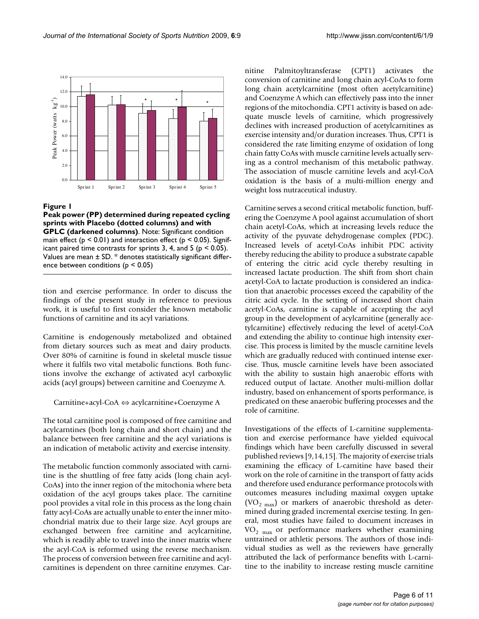<span id="page-5-0"></span>

**Peak power (PP) determined during repeated cycling sprints with Placebo (dotted columns) and with GPLC (darkened columns)**. Note: Significant condition main effect ( $p < 0.01$ ) and interaction effect ( $p < 0.05$ ). Significant paired time contrasts for sprints 3, 4, and 5 ( $p < 0.05$ ). Values are mean  $\pm$  SD.  $*$  denotes statistically significant difference between conditions (p < 0.05)

tion and exercise performance. In order to discuss the findings of the present study in reference to previous work, it is useful to first consider the known metabolic functions of carnitine and its acyl variations.

Carnitine is endogenously metabolized and obtained from dietary sources such as meat and dairy products. Over 80% of carnitine is found in skeletal muscle tissue where it fulfils two vital metabolic functions. Both functions involve the exchange of activated acyl carboxylic acids (acyl groups) between carnitine and Coenzyme A.

# Carnitine+acyl-CoA ⇔ acylcarnitine+Coenzyme A

The total carnitine pool is composed of free carnitine and acylcarntines (both long chain and short chain) and the balance between free carnitine and the acyl variations is an indication of metabolic activity and exercise intensity.

The metabolic function commonly associated with carnitine is the shuttling of free fatty acids (long chain acyl-CoAs) into the inner region of the mitochonia where beta oxidation of the acyl groups takes place. The carnitine pool provides a vital role in this process as the long chain fatty acyl-CoAs are actually unable to enter the inner mitochondrial matrix due to their large size. Acyl groups are exchanged between free carnitine and acylcarnitine, which is readily able to travel into the inner matrix where the acyl-CoA is reformed using the reverse mechanism. The process of conversion between free carnitine and acylcarnitines is dependent on three carnitine enzymes. Carnitine Palmitoyltransferase (CPT1) activates the conversion of carnitine and long chain acyl-CoAs to form long chain acetylcarnitine (most often acetylcarnitine) and Coenzyme A which can effectively pass into the inner regions of the mitochondia. CPT1 activity is based on adequate muscle levels of carnitine, which progressively declines with increased production of acetylcarnitines as exercise intensity and/or duration increases. Thus, CPT1 is considered the rate limiting enzyme of oxidation of long chain fatty CoAs with muscle carnitine levels actually serving as a control mechanism of this metabolic pathway. The association of muscle carnitine levels and acyl-CoA oxidation is the basis of a multi-million energy and weight loss nutraceutical industry.

Carnitine serves a second critical metabolic function, buffering the Coenzyme A pool against accumulation of short chain acetyl-CoAs, which at increasing levels reduce the activity of the pyuvate dehydrogenase complex (PDC). Increased levels of acetyl-CoAs inhibit PDC activity thereby reducing the ability to produce a substrate capable of entering the citric acid cycle thereby resulting in increased lactate production. The shift from short chain acetyl-CoA to lactate production is considered an indication that anaerobic processes exceed the capability of the citric acid cycle. In the setting of increased short chain acetyl-CoAs, carnitine is capable of accepting the acyl group in the development of acylcarnitine (generally acetylcarnitine) effectively reducing the level of acetyl-CoA and extending the ability to continue high intensity exercise. This process is limited by the muscle carnitine levels which are gradually reduced with continued intense exercise. Thus, muscle carnitine levels have been associated with the ability to sustain high anaerobic efforts with reduced output of lactate. Another multi-million dollar industry, based on enhancement of sports performance, is predicated on these anaerobic buffering processes and the role of carnitine.

Investigations of the effects of L-carnitine supplementation and exercise performance have yielded equivocal findings which have been carefully discussed in several published reviews [[9](#page-9-8)[,14](#page-9-14),[15\]](#page-9-15). The majority of exercise trials examining the efficacy of L-carnitine have based their work on the role of carnitine in the transport of fatty acids and therefore used endurance performance protocols with outcomes measures including maximal oxygen uptake (VO<sub>2 max</sub>) or markers of anaerobic threshold as determined during graded incremental exercise testing. In general, most studies have failed to document increases in  $VO<sub>2 max</sub>$  or performance markers whether examining untrained or athletic persons. The authors of those individual studies as well as the reviewers have generally attributed the lack of performance benefits with L-carnitine to the inability to increase resting muscle carnitine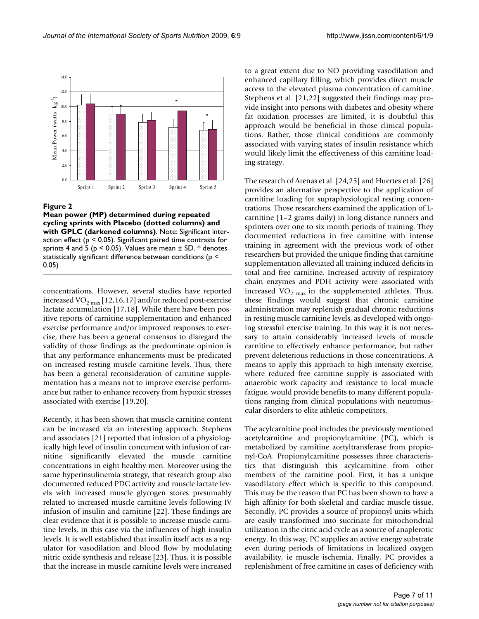<span id="page-6-0"></span>

**Mean power (MP) determined during repeated cycling sprints with Placebo (dotted columns) and with GPLC (darkened columns)**. Note: Significant interaction effect ( $p < 0.05$ ). Significant paired time contrasts for sprints 4 and 5 ( $p$  < 0.05). Values are mean  $\pm$  SD. \* denotes statistically significant difference between conditions (p < 0.05)

concentrations. However, several studies have reported increased VO<sub>2</sub> m<sub>ax</sub> [\[12](#page-9-11),[16](#page-9-16),[17\]](#page-9-17) and/or reduced post-exercise lactate accumulation [[17](#page-9-17),[18\]](#page-9-18). While there have been positive reports of carnitine supplementation and enhanced exercise performance and/or improved responses to exercise, there has been a general consensus to disregard the validity of those findings as the predominate opinion is that any performance enhancements must be predicated on increased resting muscle carnitine levels. Thus, there has been a general reconsideration of carnitine supplementation has a means not to improve exercise performance but rather to enhance recovery from hypoxic stresses associated with exercise [\[19](#page-9-19)[,20](#page-9-20)].

Recently, it has been shown that muscle carnitine content can be increased via an interesting approach. Stephens and associates [[21\]](#page-9-21) reported that infusion of a physiologically high level of insulin concurrent with infusion of carnitine significantly elevated the muscle carnitine concentrations in eight healthy men. Moreover using the same hyperinsulinemia strategy, that research group also documented reduced PDC activity and muscle lactate levels with increased muscle glycogen stores presumably related to increased muscle carnitine levels following IV infusion of insulin and carnitine [[22\]](#page-9-22). These findings are clear evidence that it is possible to increase muscle carnitine levels, in this case via the influences of high insulin levels. It is well established that insulin itself acts as a regulator for vasodilation and blood flow by modulating nitric oxide synthesis and release [\[23\]](#page-10-0). Thus, it is possible that the increase in muscle carnitine levels were increased

to a great extent due to NO providing vasodilation and enhanced capillary filling, which provides direct muscle access to the elevated plasma concentration of carnitine. Stephens et al. [\[21](#page-9-21),[22](#page-9-22)] suggested their findings may provide insight into persons with diabetes and obesity where fat oxidation processes are limited, it is doubtful this approach would be beneficial in those clinical populations. Rather, those clinical conditions are commonly associated with varying states of insulin resistance which would likely limit the effectiveness of this carnitine loading strategy.

The research of Arenas et al. [[24](#page-10-1),[25\]](#page-10-2) and Huertes et al. [[26\]](#page-10-3) provides an alternative perspective to the application of carnitine loading for supraphysiological resting concentrations. Those researchers examined the application of Lcarnitine (1–2 grams daily) in long distance runners and sprinters over one to six month periods of training. They documented reductions in free carnitine with intense training in agreement with the previous work of other researchers but provided the unique finding that carnitine supplementation alleviated all training induced deficits in total and free carnitine. Increased activity of respiratory chain enzymes and PDH activity were associated with increased VO<sub>2</sub> max in the supplemented athletes. Thus, these findings would suggest that chronic carnitine administration may replenish gradual chronic reductions in resting muscle carnitine levels, as developed with ongoing stressful exercise training. In this way it is not necessary to attain considerably increased levels of muscle carnitine to effectively enhance performance, but rather prevent deleterious reductions in those concentrations. A means to apply this approach to high intensity exercise, where reduced free carnitine supply is associated with anaerobic work capacity and resistance to local muscle fatigue, would provide benefits to many different populations ranging from clinical populations with neuromuscular disorders to elite athletic competitors.

The acylcarnitine pool includes the previously mentioned acetylcarnitine and propionylcarnitine (PC), which is metabolized by carnitine acetyltransferase from propionyl-CoA. Propionylcarnitine possesses three characteristics that distinguish this acylcarnitine from other members of the carnitine pool. First, it has a unique vasodilatory effect which is specific to this compound. This may be the reason that PC has been shown to have a high affinity for both skeletal and cardiac muscle tissue. Secondly, PC provides a source of propionyl units which are easily transformed into succinate for mitochondrial utilization in the citric acid cycle as a source of anaplerotic energy. In this way, PC supplies an active energy substrate even during periods of limitations in localized oxygen availability, ie muscle ischemia. Finally, PC provides a replenishment of free carnitine in cases of deficiency with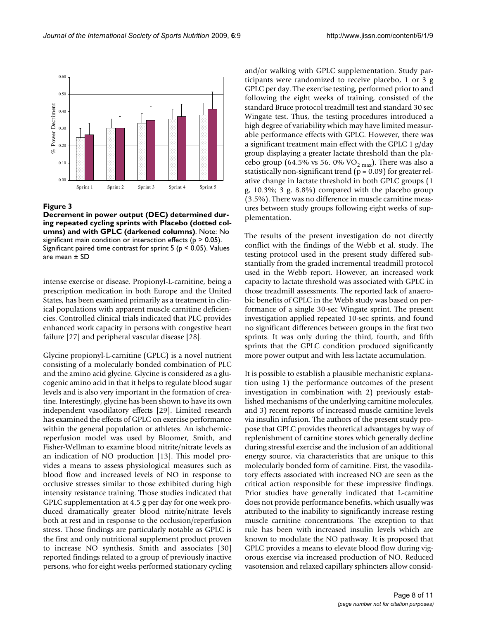<span id="page-7-0"></span>

**Decrement in power output (DEC) determined during repeated cycling sprints with Placebo (dotted columns) and with GPLC (darkened columns)**. Note: No significant main condition or interaction effects ( $p > 0.05$ ). Significant paired time contrast for sprint  $5$  ( $p < 0.05$ ). Values are mean ± SD

intense exercise or disease. Propionyl-L-carnitine, being a prescription medication in both Europe and the United States, has been examined primarily as a treatment in clinical populations with apparent muscle carnitine deficiencies. Controlled clinical trials indicated that PLC provides enhanced work capacity in persons with congestive heart failure [\[27\]](#page-10-4) and peripheral vascular disease [\[28](#page-10-5)].

Glycine propionyl-L-carnitine (GPLC) is a novel nutrient consisting of a molecularly bonded combination of PLC and the amino acid glycine. Glycine is considered as a glucogenic amino acid in that it helps to regulate blood sugar levels and is also very important in the formation of creatine. Interestingly, glycine has been shown to have its own independent vasodilatory effects [\[29](#page-10-6)]. Limited research has examined the effects of GPLC on exercise performance within the general population or athletes. An ishchemicreperfusion model was used by Bloomer, Smith, and Fisher-Wellman to examine blood nitrite/nitrate levels as an indication of NO production [\[13](#page-9-12)]. This model provides a means to assess physiological measures such as blood flow and increased levels of NO in response to occlusive stresses similar to those exhibited during high intensity resistance training. Those studies indicated that GPLC supplementation at 4.5 g per day for one week produced dramatically greater blood nitrite/nitrate levels both at rest and in response to the occlusion/reperfusion stress. Those findings are particularly notable as GPLC is the first and only nutritional supplement product proven to increase NO synthesis. Smith and associates [[30\]](#page-10-7) reported findings related to a group of previously inactive persons, who for eight weeks performed stationary cycling and/or walking with GPLC supplementation. Study participants were randomized to receive placebo, 1 or 3 g GPLC per day. The exercise testing, performed prior to and following the eight weeks of training, consisted of the standard Bruce protocol treadmill test and standard 30 sec Wingate test. Thus, the testing procedures introduced a high degree of variability which may have limited measurable performance effects with GPLC. However, there was a significant treatment main effect with the GPLC 1 g/day group displaying a greater lactate threshold than the placebo group (64.5% vs 56. 0% VO<sub>2 max</sub>). There was also a statistically non-significant trend  $(p = 0.09)$  for greater relative change in lactate threshold in both GPLC groups (1 g, 10.3%; 3 g, 8.8%) compared with the placebo group (3.5%). There was no difference in muscle carnitine measures between study groups following eight weeks of supplementation.

The results of the present investigation do not directly conflict with the findings of the Webb et al. study. The testing protocol used in the present study differed substantially from the graded incremental treadmill protocol used in the Webb report. However, an increased work capacity to lactate threshold was associated with GPLC in those treadmill assessments. The reported lack of anaerobic benefits of GPLC in the Webb study was based on performance of a single 30-sec Wingate sprint. The present investigation applied repeated 10-sec sprints, and found no significant differences between groups in the first two sprints. It was only during the third, fourth, and fifth sprints that the GPLC condition produced significantly more power output and with less lactate accumulation.

It is possible to establish a plausible mechanistic explanation using 1) the performance outcomes of the present investigation in combination with 2) previously established mechanisms of the underlying carnitine molecules, and 3) recent reports of increased muscle carnitine levels via insulin infusion. The authors of the present study propose that GPLC provides theoretical advantages by way of replenishment of carnitine stores which generally decline during stressful exercise and the inclusion of an additional energy source, via characteristics that are unique to this molecularly bonded form of carnitine. First, the vasodilatory effects associated with increased NO are seen as the critical action responsible for these impressive findings. Prior studies have generally indicated that L-carnitine does not provide performance benefits, which usually was attributed to the inability to significantly increase resting muscle carnitine concentrations. The exception to that rule has been with increased insulin levels which are known to modulate the NO pathway. It is proposed that GPLC provides a means to elevate blood flow during vigorous exercise via increased production of NO. Reduced vasotension and relaxed capillary sphincters allow consid-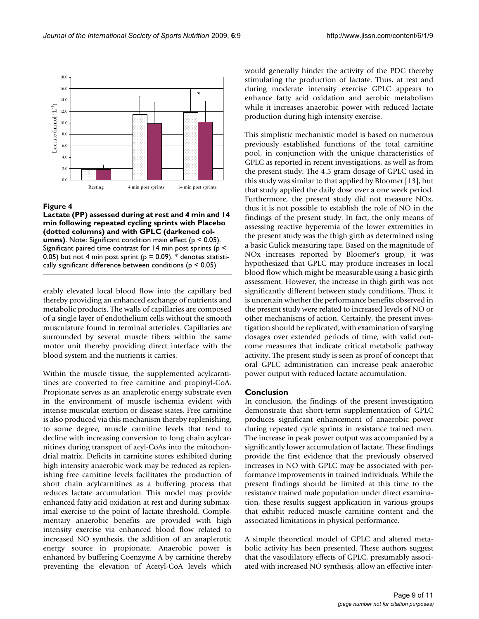<span id="page-8-0"></span>

**Lactate (PP) assessed during at rest and 4 min and 14 min following repeated cycling sprints with Placebo (dotted columns) and with GPLC (darkened columns)**. Note: Significant condition main effect (p < 0.05). Significant paired time contrast for 14 min post sprints (p < 0.05) but not 4 min post sprint ( $p = 0.09$ ). \* denotes statistically significant difference between conditions ( $p < 0.05$ )

erably elevated local blood flow into the capillary bed thereby providing an enhanced exchange of nutrients and metabolic products. The walls of capillaries are composed of a single layer of endothelium cells without the smooth musculature found in terminal arterioles. Capillaries are surrounded by several muscle fibers within the same motor unit thereby providing direct interface with the blood system and the nutrients it carries.

Within the muscle tissue, the supplemented acylcarntitines are converted to free carnitine and propinyl-CoA. Propionate serves as an anaplerotic energy substrate even in the environment of muscle ischemia evident with intense muscular exertion or disease states. Free carnitine is also produced via this mechanism thereby replenishing, to some degree, muscle carnitine levels that tend to decline with increasing conversion to long chain acylcarnitines during transport of acyl-CoAs into the mitochondrial matrix. Deficits in carnitine stores exhibited during high intensity anaerobic work may be reduced as replenishing free carnitine levels facilitates the production of short chain acylcarnitines as a buffering process that reduces lactate accumulation. This model may provide enhanced fatty acid oxidation at rest and during submaximal exercise to the point of lactate threshold. Complementary anaerobic benefits are provided with high intensity exercise via enhanced blood flow related to increased NO synthesis, the addition of an anaplerotic energy source in propionate. Anaerobic power is enhanced by buffering Coenzyme A by carnitine thereby preventing the elevation of Acetyl-CoA levels which

would generally hinder the activity of the PDC thereby stimulating the production of lactate. Thus, at rest and during moderate intensity exercise GPLC appears to enhance fatty acid oxidation and aerobic metabolism while it increases anaerobic power with reduced lactate production during high intensity exercise.

This simplistic mechanistic model is based on numerous previously established functions of the total carnitine pool, in conjunction with the unique characteristics of GPLC as reported in recent investigations, as well as from the present study. The 4.5 gram dosage of GPLC used in this study was similar to that applied by Bloomer [\[13\]](#page-9-12), but that study applied the daily dose over a one week period. Furthermore, the present study did not measure NOx, thus it is not possible to establish the role of NO in the findings of the present study. In fact, the only means of assessing reactive hyperemia of the lower extremities in the present study was the thigh girth as determined using a basic Gulick measuring tape. Based on the magnitude of NOx increases reported by Bloomer's group, it was hypothesized that GPLC may produce increases in local blood flow which might be measurable using a basic girth assessment. However, the increase in thigh girth was not significantly different between study conditions. Thus, it is uncertain whether the performance benefits observed in the present study were related to increased levels of NO or other mechanisms of action. Certainly, the present investigation should be replicated, with examination of varying dosages over extended periods of time, with valid outcome measures that indicate critical metabolic pathway activity. The present study is seen as proof of concept that oral GPLC administration can increase peak anaerobic power output with reduced lactate accumulation.

## **Conclusion**

In conclusion, the findings of the present investigation demonstrate that short-term supplementation of GPLC produces significant enhancement of anaerobic power during repeated cycle sprints in resistance trained men. The increase in peak power output was accompanied by a significantly lower accumulation of lactate. These findings provide the first evidence that the previously observed increases in NO with GPLC may be associated with performance improvements in trained individuals. While the present findings should be limited at this time to the resistance trained male population under direct examination, these results suggest application in various groups that exhibit reduced muscle carnitine content and the associated limitations in physical performance.

A simple theoretical model of GPLC and altered metabolic activity has been presented. These authors suggest that the vasodilatory effects of GPLC, presumably associated with increased NO synthesis, allow an effective inter-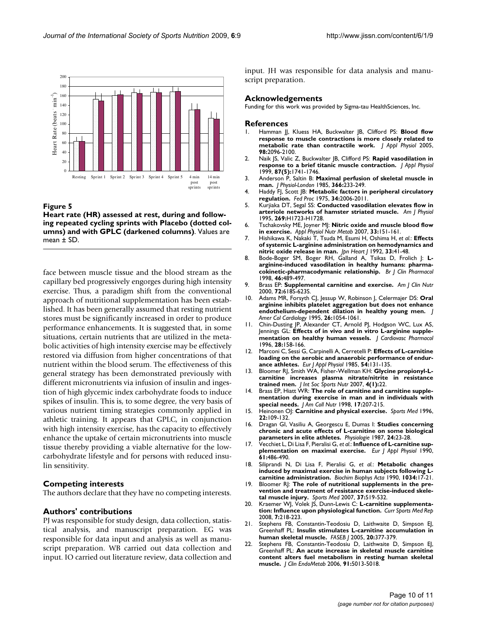<span id="page-9-13"></span>



face between muscle tissue and the blood stream as the capillary bed progressively engorges during high intensity exercise. Thus, a paradigm shift from the conventional approach of nutritional supplementation has been established. It has been generally assumed that resting nutrient stores must be significantly increased in order to produce performance enhancements. It is suggested that, in some situations, certain nutrients that are utilized in the metabolic activities of high intensity exercise may be effectively restored via diffusion from higher concentrations of that nutrient within the blood serum. The effectiveness of this general strategy has been demonstrated previously with different micronutrients via infusion of insulin and ingestion of high glycemic index carbohydrate foods to induce spikes of insulin. This is, to some degree, the very basis of various nutrient timing strategies commonly applied in athletic training. It appears that GPLC, in conjunction with high intensity exercise, has the capacity to effectively enhance the uptake of certain micronutrients into muscle tissue thereby providing a viable alternative for the lowcarbohydrate lifestyle and for persons with reduced insulin sensitivity.

#### **Competing interests**

The authors declare that they have no competing interests.

#### **Authors' contributions**

PJ was responsible for study design, data collection, statistical analysis, and manuscript preparation. EG was responsible for data input and analysis as well as manuscript preparation. WB carried out data collection and input. IO carried out literature review, data collection and input. JH was responsible for data analysis and manuscript preparation.

#### **Acknowledgements**

Funding for this work was provided by Sigma-tau HealthSciences, Inc.

#### **References**

- <span id="page-9-0"></span>1. Hamman JJ, Kluess HA, Buckwalter JB, Clifford PS: [Blood flow](http://www.ncbi.nlm.nih.gov/entrez/query.fcgi?cmd=Retrieve&db=PubMed&dopt=Abstract&list_uids=15691905) **[response to muscle contractions is more closely related to](http://www.ncbi.nlm.nih.gov/entrez/query.fcgi?cmd=Retrieve&db=PubMed&dopt=Abstract&list_uids=15691905) [metabolic rate than contractile work.](http://www.ncbi.nlm.nih.gov/entrez/query.fcgi?cmd=Retrieve&db=PubMed&dopt=Abstract&list_uids=15691905)** *J Appl Physiol* 2005, **98:**2096-2100.
- <span id="page-9-1"></span>2. Naik JS, Valic Z, Buckwalter JB, Clifford PS: **[Rapid vasodilation in](http://www.ncbi.nlm.nih.gov/entrez/query.fcgi?cmd=Retrieve&db=PubMed&dopt=Abstract&list_uids=10562617) [response to a brief titanic muscle contraction.](http://www.ncbi.nlm.nih.gov/entrez/query.fcgi?cmd=Retrieve&db=PubMed&dopt=Abstract&list_uids=10562617)** *J Appl Physiol* 1999, **87(5):**1741-1746.
- <span id="page-9-2"></span>3. Anderson P, Saltin B: **[Maximal perfusion of skeletal muscle in](http://www.ncbi.nlm.nih.gov/entrez/query.fcgi?cmd=Retrieve&db=PubMed&dopt=Abstract&list_uids=4057091) [man.](http://www.ncbi.nlm.nih.gov/entrez/query.fcgi?cmd=Retrieve&db=PubMed&dopt=Abstract&list_uids=4057091)** *J Physiol-London* 1985, **366:**233-249.
- <span id="page-9-3"></span>4. Haddy FJ, Scott JB: **[Metabolic factors in peripheral circulatory](http://www.ncbi.nlm.nih.gov/entrez/query.fcgi?cmd=Retrieve&db=PubMed&dopt=Abstract&list_uids=240741) [regulation.](http://www.ncbi.nlm.nih.gov/entrez/query.fcgi?cmd=Retrieve&db=PubMed&dopt=Abstract&list_uids=240741)** *Fed Proc* 1975, **34:**2006-2011.
- <span id="page-9-4"></span>5. Kurjiaka DT, Segal SS: **[Conducted vasodilation elevates flow in](http://www.ncbi.nlm.nih.gov/entrez/query.fcgi?cmd=Retrieve&db=PubMed&dopt=Abstract&list_uids=7503270) [arteriole networks of hamster striated muscle.](http://www.ncbi.nlm.nih.gov/entrez/query.fcgi?cmd=Retrieve&db=PubMed&dopt=Abstract&list_uids=7503270)** *Am J Physiol* 1995, **269:**H1723-H1728.
- <span id="page-9-5"></span>6. Tschakovsky ME, Joyner MJ: **Nitric oxide and muscle blood flow in exercise.** *Appl Physiol Nutr Metab* 2007, **33:**151-161.
- <span id="page-9-6"></span>7. Hishikawa K, Nakaki T, Tsuda M, Esumi H, Oshima H, *et al.*: **[Effects](http://www.ncbi.nlm.nih.gov/entrez/query.fcgi?cmd=Retrieve&db=PubMed&dopt=Abstract&list_uids=1315399) [of systemic L-arginine administration on hemodynamics and](http://www.ncbi.nlm.nih.gov/entrez/query.fcgi?cmd=Retrieve&db=PubMed&dopt=Abstract&list_uids=1315399) [nitric oxide release in man.](http://www.ncbi.nlm.nih.gov/entrez/query.fcgi?cmd=Retrieve&db=PubMed&dopt=Abstract&list_uids=1315399)** *Jpn Heart J* 1992, **33:**41-48.
- <span id="page-9-7"></span>8. Bode-Boger SM, Boger RH, Galland A, Tsikas D, Frolich J: **[L](http://www.ncbi.nlm.nih.gov/entrez/query.fcgi?cmd=Retrieve&db=PubMed&dopt=Abstract&list_uids=9833603)[arginine-induced vasodilation in healthy humans: pharma](http://www.ncbi.nlm.nih.gov/entrez/query.fcgi?cmd=Retrieve&db=PubMed&dopt=Abstract&list_uids=9833603)[cokinetic-pharmacodymanic relationship.](http://www.ncbi.nlm.nih.gov/entrez/query.fcgi?cmd=Retrieve&db=PubMed&dopt=Abstract&list_uids=9833603)** *Br J Clin Pharmacol* 1998, **46:**489-497.
- <span id="page-9-8"></span>9. Brass EP: **[Supplemental carnitine and exercise.](http://www.ncbi.nlm.nih.gov/entrez/query.fcgi?cmd=Retrieve&db=PubMed&dopt=Abstract&list_uids=10919968)** *Am J Clin Nutr* 2000, **72:**618S-623S.
- <span id="page-9-9"></span>10. Adams MR, Forsyth CJ, Jessup W, Robinson J, Celermajer DS: **Oral arginine inhibits platelet aggregation but does not enhance endothelium-dependent dilation in healthy young men.** *J Amer Col Cardiology* 1995, **26:**1054-1061.
- <span id="page-9-10"></span>11. Chin-Dusting JP, Alexander CT, Arnold PJ, Hodgson WC, Lux AS, Jennings GL: **[Effects of in vivo and in vitro L-arginine supple](http://www.ncbi.nlm.nih.gov/entrez/query.fcgi?cmd=Retrieve&db=PubMed&dopt=Abstract&list_uids=8797150)[mentation on healthy human vessels.](http://www.ncbi.nlm.nih.gov/entrez/query.fcgi?cmd=Retrieve&db=PubMed&dopt=Abstract&list_uids=8797150)** *J Cardiovasc Pharmacol* 1996, **28:**158-166.
- <span id="page-9-11"></span>12. Marconi C, Sessi G, Carpinelli A, Cerretelli P: **Effects of L-carnitine loading on the aerobic and anaerobic performance of endurance athletes.** *Eur J Appl Physiol* 1985, **54:**131-135.
- <span id="page-9-12"></span>13. Bloomer RJ, Smith WA, Fisher-Wellman KH: **[Glycine propionyl-L](http://www.ncbi.nlm.nih.gov/entrez/query.fcgi?cmd=Retrieve&db=PubMed&dopt=Abstract&list_uids=18053183)[carnitine increases plasma nitrate/nitrite in resistance](http://www.ncbi.nlm.nih.gov/entrez/query.fcgi?cmd=Retrieve&db=PubMed&dopt=Abstract&list_uids=18053183) [trained men.](http://www.ncbi.nlm.nih.gov/entrez/query.fcgi?cmd=Retrieve&db=PubMed&dopt=Abstract&list_uids=18053183)** *J Int Soc Sports Nutr* 2007, **4(1):**22.
- <span id="page-9-14"></span>14. Brass EP, Hiatt WR: **[The role of carnitine and carnitine supple](http://www.ncbi.nlm.nih.gov/entrez/query.fcgi?cmd=Retrieve&db=PubMed&dopt=Abstract&list_uids=9627906)[mentation during exercise in man and in individuals with](http://www.ncbi.nlm.nih.gov/entrez/query.fcgi?cmd=Retrieve&db=PubMed&dopt=Abstract&list_uids=9627906) [special needs.](http://www.ncbi.nlm.nih.gov/entrez/query.fcgi?cmd=Retrieve&db=PubMed&dopt=Abstract&list_uids=9627906)** *J Am Coll Nutr* 1998, **17:**207-215.
- <span id="page-9-15"></span>15. Heinonen OJ: **[Carnitine and physical exercise.](http://www.ncbi.nlm.nih.gov/entrez/query.fcgi?cmd=Retrieve&db=PubMed&dopt=Abstract&list_uids=8857706)** *Sports Med* 1996, **22:**109-132.
- <span id="page-9-16"></span>16. Dragan GI, Vasiliu A, Georgescu E, Dumas I: **[Studies concerning](http://www.ncbi.nlm.nih.gov/entrez/query.fcgi?cmd=Retrieve&db=PubMed&dopt=Abstract&list_uids=3110804) [chronic and acute effects of L-carnitine on some biological](http://www.ncbi.nlm.nih.gov/entrez/query.fcgi?cmd=Retrieve&db=PubMed&dopt=Abstract&list_uids=3110804) [parameters in elite athletes.](http://www.ncbi.nlm.nih.gov/entrez/query.fcgi?cmd=Retrieve&db=PubMed&dopt=Abstract&list_uids=3110804)** *Physiologie* 1987, **24:**23-28.
- <span id="page-9-17"></span>17. Vecchiet L, Di Lisa F, Pieralisi G, *et al.*: **Influence of L-carnitine supplementation on maximal exercise.** *Eur J Appl Physiol* 1990, **61:**486-490.
- <span id="page-9-18"></span>18. Siliprandi N, Di Lisa F, Pieralisi G, *et al.*: **[Metabolic changes](http://www.ncbi.nlm.nih.gov/entrez/query.fcgi?cmd=Retrieve&db=PubMed&dopt=Abstract&list_uids=2328258) [induced by maximal exercise in human subjects following L](http://www.ncbi.nlm.nih.gov/entrez/query.fcgi?cmd=Retrieve&db=PubMed&dopt=Abstract&list_uids=2328258)[carnitine administration.](http://www.ncbi.nlm.nih.gov/entrez/query.fcgi?cmd=Retrieve&db=PubMed&dopt=Abstract&list_uids=2328258)** *Biochim Biophys Acta* 1990, **1034:**17-21.
- <span id="page-9-19"></span>19. Bloomer RJ: **[The role of nutritional supplements in the pre](http://www.ncbi.nlm.nih.gov/entrez/query.fcgi?cmd=Retrieve&db=PubMed&dopt=Abstract&list_uids=17503877)[vention and treatment of resistance exercise-induced skele](http://www.ncbi.nlm.nih.gov/entrez/query.fcgi?cmd=Retrieve&db=PubMed&dopt=Abstract&list_uids=17503877)[tal muscle injury.](http://www.ncbi.nlm.nih.gov/entrez/query.fcgi?cmd=Retrieve&db=PubMed&dopt=Abstract&list_uids=17503877)** *Sports Med* 2007, **37:**519-532.
- <span id="page-9-20"></span>20. Kraemer WJ, Volek JS, Dunn-Lewis C: **[L-carnitine supplementa](http://www.ncbi.nlm.nih.gov/entrez/query.fcgi?cmd=Retrieve&db=PubMed&dopt=Abstract&list_uids=18607224)[tion: Influence upon physiological function.](http://www.ncbi.nlm.nih.gov/entrez/query.fcgi?cmd=Retrieve&db=PubMed&dopt=Abstract&list_uids=18607224)** *Curr Sports Med Rep* 2008, **7:**218-223.
- <span id="page-9-21"></span>21. Stephens FB, Constantin-Teodosiu D, Laithwaite D, Simpson EJ, Greenhaff PL: **[Insulin stimulates L-carnitine accumulation in](http://www.ncbi.nlm.nih.gov/entrez/query.fcgi?cmd=Retrieve&db=PubMed&dopt=Abstract&list_uids=16368715) [human skeletal muscle.](http://www.ncbi.nlm.nih.gov/entrez/query.fcgi?cmd=Retrieve&db=PubMed&dopt=Abstract&list_uids=16368715)** *FASEB J* 2005, **20:**377-379.
- <span id="page-9-22"></span>22. Stephens FB, Constantin-Teodosiu D, Laithwaite D, Simpson EJ, Greenhaff PL: **An acute increase in skeletal muscle carnitine content alters fuel metabolism in resting human skeletal muscle.** *J Clin EndoMetab* 2006, **91:**5013-5018.